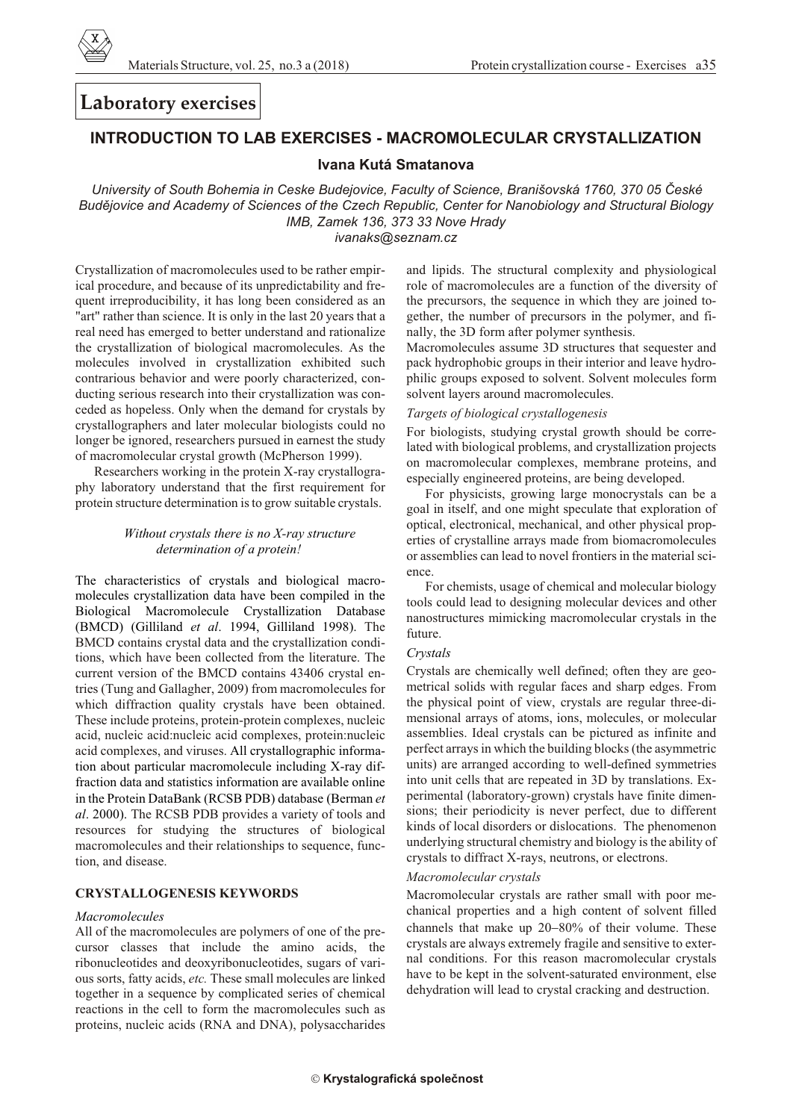

# **Laboratory exercises**

# **INTRODUCTION TO LAB EXERCISES - MACROMOLECULAR CRYSTALLIZATION**

### Ivana Kutá Smatanova

University of South Bohemia in Ceske Budejovice, Faculty of Science, Branišovská 1760, 370 05 České Budějovice and Academy of Sciences of the Czech Republic, Center for Nanobiology and Structural Biology IMB, Zamek 136, 373 33 Nove Hrady ivanaks@seznam.cz

Crystallization of macromolecules used to be rather empirical procedure, and because of its unpredictability and frequent irreproducibility, it has long been considered as an "art" rather than science. It is only in the last 20 years that a real need has emerged to better understand and rationalize the crystallization of biological macromolecules. As the molecules involved in crystallization exhibited such contrarious behavior and were poorly characterized, conducting serious research into their crystallization was conceded as hopeless. Only when the demand for crystals by crystallographers and later molecular biologists could no longer be ignored, researchers pursued in earnest the study of macromolecular crystal growth (McPherson 1999).

Researchers working in the protein X-ray crystallography laboratory understand that the first requirement for protein structure determination is to grow suitable crystals.

#### Without crystals there is no X-ray structure determination of a protein!

The characteristics of crystals and biological macromolecules crystallization data have been compiled in the Biological Macromolecule Crystallization Database (BMCD) (Gilliland et al. 1994, Gilliland 1998). The BMCD contains crystal data and the crystallization conditions, which have been collected from the literature. The current version of the BMCD contains 43406 crystal entries (Tung and Gallagher, 2009) from macromolecules for which diffraction quality crystals have been obtained. These include proteins, protein-protein complexes, nucleic acid, nucleic acid: nucleic acid complexes, protein: nucleic acid complexes, and viruses. All crystallographic information about particular macromolecule including X-ray diffraction data and statistics information are available online in the Protein DataBank (RCSB PDB) database (Berman et al. 2000). The RCSB PDB provides a variety of tools and resources for studying the structures of biological macromolecules and their relationships to sequence, function, and disease.

#### **CRYSTALLOGENESIS KEYWORDS**

#### *Macromolecules*

All of the macromolecules are polymers of one of the precursor classes that include the amino acids, the ribonucleotides and deoxyribonucleotides, sugars of various sorts, fatty acids, etc. These small molecules are linked together in a sequence by complicated series of chemical reactions in the cell to form the macromolecules such as proteins, nucleic acids (RNA and DNA), polysaccharides and lipids. The structural complexity and physiological role of macromolecules are a function of the diversity of the precursors, the sequence in which they are joined together, the number of precursors in the polymer, and finally, the 3D form after polymer synthesis.

Macromolecules assume 3D structures that sequester and pack hydrophobic groups in their interior and leave hydrophilic groups exposed to solvent. Solvent molecules form solvent layers around macromolecules.

#### Targets of biological crystallogenesis

For biologists, studying crystal growth should be correlated with biological problems, and crystallization projects on macromolecular complexes, membrane proteins, and especially engineered proteins, are being developed.

For physicists, growing large monocrystals can be a goal in itself, and one might speculate that exploration of optical, electronical, mechanical, and other physical properties of crystalline arrays made from biomacromolecules or assemblies can lead to novel frontiers in the material science

For chemists, usage of chemical and molecular biology tools could lead to designing molecular devices and other nanostructures mimicking macromolecular crystals in the future.

#### Crystals

Crystals are chemically well defined; often they are geometrical solids with regular faces and sharp edges. From the physical point of view, crystals are regular three-dimensional arrays of atoms, ions, molecules, or molecular assemblies. Ideal crystals can be pictured as infinite and perfect arrays in which the building blocks (the asymmetric units) are arranged according to well-defined symmetries into unit cells that are repeated in 3D by translations. Experimental (laboratory-grown) crystals have finite dimensions; their periodicity is never perfect, due to different kinds of local disorders or dislocations. The phenomenon underlying structural chemistry and biology is the ability of crystals to diffract X-rays, neutrons, or electrons.

#### Macromolecular crystals

Macromolecular crystals are rather small with poor mechanical properties and a high content of solvent filled channels that make up 20 80% of their volume. These crystals are always extremely fragile and sensitive to external conditions. For this reason macromolecular crystals have to be kept in the solvent-saturated environment, else dehydration will lead to crystal cracking and destruction.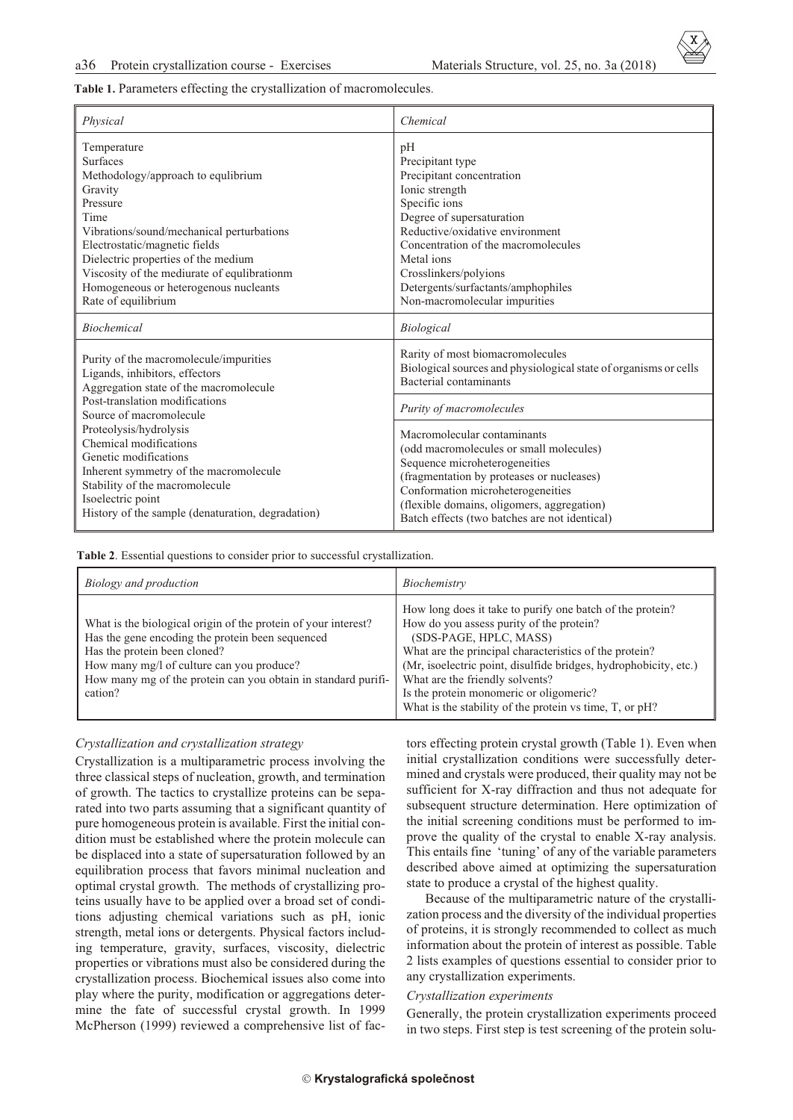Table 1. Parameters effecting the crystallization of macromolecules.

| Physical                                                                                                                                                                                                                                                                                                                                                                                                           | Chemical                                                                                                                                                                                                                                                                                                             |
|--------------------------------------------------------------------------------------------------------------------------------------------------------------------------------------------------------------------------------------------------------------------------------------------------------------------------------------------------------------------------------------------------------------------|----------------------------------------------------------------------------------------------------------------------------------------------------------------------------------------------------------------------------------------------------------------------------------------------------------------------|
| Temperature<br><b>Surfaces</b><br>Methodology/approach to equlibrium<br>Gravity<br>Pressure<br>Time<br>Vibrations/sound/mechanical perturbations<br>Electrostatic/magnetic fields<br>Dielectric properties of the medium<br>Viscosity of the mediurate of equlibrationm<br>Homogeneous or heterogenous nucleants<br>Rate of equilibrium                                                                            | pH<br>Precipitant type<br>Precipitant concentration<br>Ionic strength<br>Specific ions<br>Degree of supersaturation<br>Reductive/oxidative environment<br>Concentration of the macromolecules<br>Metal ions<br>Crosslinkers/polyions<br>Detergents/surfactants/amphophiles<br>Non-macromolecular impurities          |
| <b>Biochemical</b>                                                                                                                                                                                                                                                                                                                                                                                                 | Biological                                                                                                                                                                                                                                                                                                           |
| Purity of the macromolecule/impurities<br>Ligands, inhibitors, effectors<br>Aggregation state of the macromolecule<br>Post-translation modifications<br>Source of macromolecule<br>Proteolysis/hydrolysis<br>Chemical modifications<br>Genetic modifications<br>Inherent symmetry of the macromolecule<br>Stability of the macromolecule<br>Isoelectric point<br>History of the sample (denaturation, degradation) | Rarity of most biomacromolecules<br>Biological sources and physiological state of organisms or cells<br><b>Bacterial contaminants</b>                                                                                                                                                                                |
|                                                                                                                                                                                                                                                                                                                                                                                                                    | Purity of macromolecules<br>Macromolecular contaminants<br>(odd macromolecules or small molecules)<br>Sequence microheterogeneities<br>(fragmentation by proteases or nucleases)<br>Conformation microheterogeneities<br>(flexible domains, oligomers, aggregation)<br>Batch effects (two batches are not identical) |

Table 2. Essential questions to consider prior to successful crystallization.

| Biology and production                                                                                                                                                                                                                                                      | Biochemistry                                                                                                                                                                                                                                                                                                                                                                                           |
|-----------------------------------------------------------------------------------------------------------------------------------------------------------------------------------------------------------------------------------------------------------------------------|--------------------------------------------------------------------------------------------------------------------------------------------------------------------------------------------------------------------------------------------------------------------------------------------------------------------------------------------------------------------------------------------------------|
| What is the biological origin of the protein of your interest?<br>Has the gene encoding the protein been sequenced<br>Has the protein been cloned?<br>How many mg/l of culture can you produce?<br>How many mg of the protein can you obtain in standard purifi-<br>cation? | How long does it take to purify one batch of the protein?<br>How do you assess purity of the protein?<br>(SDS-PAGE, HPLC, MASS)<br>What are the principal characteristics of the protein?<br>(Mr, isoelectric point, disulfide bridges, hydrophobicity, etc.)<br>What are the friendly solvents?<br>Is the protein monomeric or oligomeric?<br>What is the stability of the protein vs time, T, or pH? |

#### *Crys tal li za tion and crys tal li za tion strat egy*

Crystallization is a multiparametric process involving the three classical steps of nucleation, growth, and termination of growth. The tactics to crystallize proteins can be separated into two parts assuming that a significant quantity of pure homogeneous protein is available. First the initial condition must be established where the protein molecule can be displaced into a state of supersaturation followed by an equilibration process that favors minimal nucleation and optimal crystal growth. The methods of crystallizing proteins usually have to be applied over a broad set of conditions adjusting chemical variations such as pH, ionic strength, metal ions or detergents. Physical factors including temperature, gravity, surfaces, viscosity, dielectric properties or vibrations must also be considered during the crystallization process. Biochemical issues also come into play where the purity, modification or aggregations determine the fate of successful crystal growth. In 1999 McPherson (1999) reviewed a comprehensive list of factors effecting protein crystal growth (Table 1). Even when initial crystallization conditions were successfully determined and crystals were produced, their quality may not be sufficient for X-ray diffraction and thus not adequate for subsequent structure determination. Here optimization of the initial screening conditions must be performed to improve the quality of the crystal to enable X-ray analysis. This entails fine 'tuning' of any of the variable parameters described above aimed at optimizing the supersaturation state to produce a crystal of the highest quality.

Because of the multiparametric nature of the crystallization process and the diversity of the individual properties of proteins, it is strongly recommended to collect as much information about the protein of interest as possible. Table 2 lists examples of questions essential to consider prior to any crystallization experiments.

#### *Crys tal li za tion ex per i ments*

Generally, the protein crystallization experiments proceed in two steps. First step is test screening of the protein solu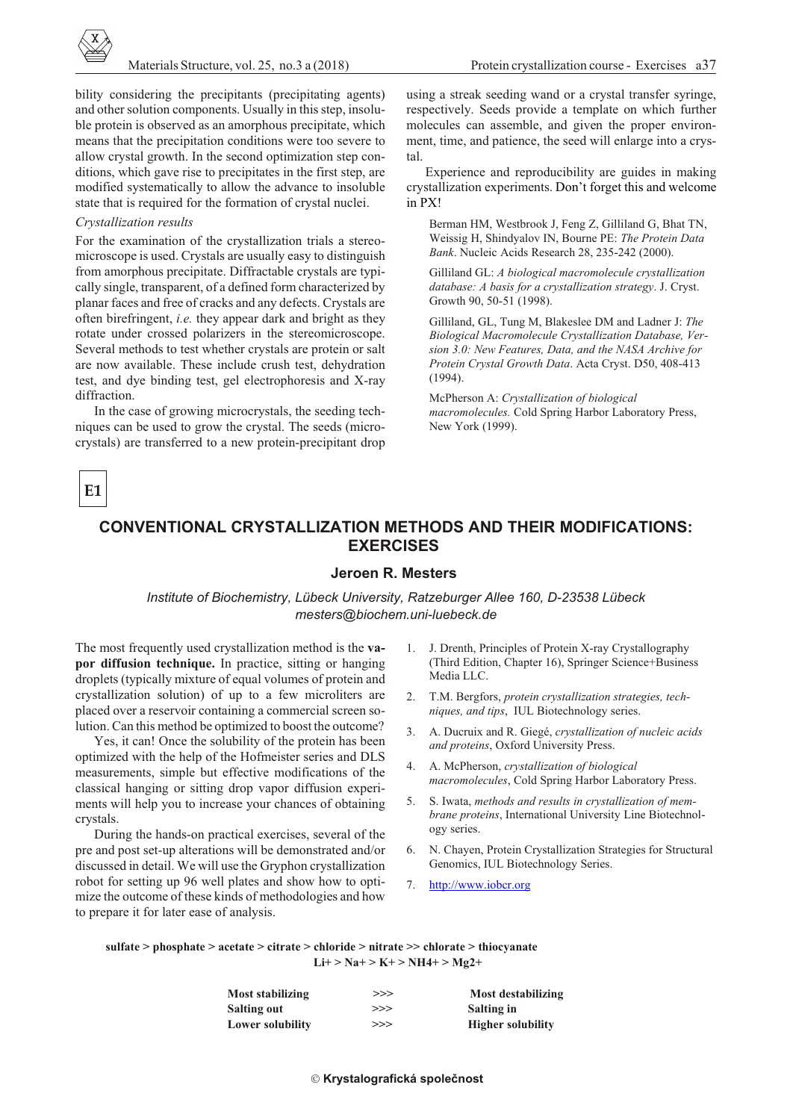bility considering the precipitants (precipitating agents) and other solution components. Usually in this step, insoluble protein is observed as an amorphous precipitate, which means that the precipitation conditions were too severe to allow crystal growth. In the second optimization step conditions, which gave rise to precipitates in the first step, are modified systematically to allow the advance to insoluble state that is required for the formation of crystal nuclei.

#### *Crys tal li za tion re sults*

For the examination of the crystallization trials a stereomicroscope is used. Crystals are usually easy to distinguish from amorphous precipitate. Diffractable crystals are typically single, transparent, of a defined form characterized by planar faces and free of cracks and any defects. Crystals are often birefringent, *i.e.* they appear dark and bright as they rotate under crossed polarizers in the stereomicroscope. Several methods to test whether crystals are protein or salt are now available. These include crush test, dehydration test, and dye binding test, gel electrophoresis and X-ray diffraction.

In the case of growing microcrystals, the seeding techniques can be used to grow the crystal. The seeds (microcrystals) are transferred to a new protein-precipitant drop

using a streak seeding wand or a crystal transfer syringe, respectively. Seeds provide a template on which further molecules can assemble, and given the proper environment, time, and patience, the seed will enlarge into a crystal.

Experience and reproducibility are guides in making crystallization experiments. Don't forget this and welcome in PX!

Berman HM, Westbrook J, Feng Z, Gilliland G, Bhat TN, Weissig H, Shindyalov IN, Bourne PE: *The Protein Data Bank*. Nucleic Acids Research 28, 235-242 (2000).

Gilliland GL: *A biological macromolecule crystallization database: A basis for a crystallization strategy. J. Cryst.* Growth 90, 50-51 (1998).

Gilliland, GL, Tung M, Blakeslee DM and Ladner J: *The Bi o log i cal Macromolecule Crys tal li za tion Da ta base, Ver sion 3.0: New Fea tures, Data, and the NASA Ar chive for Pro tein Crys tal Growth Data*. Acta Cryst. D50, 408-413 (1994).

McPherson A: *Crystallization of biological macromolecules.* Cold Spring Harbor Laboratory Press, New York (1999).

**E1**

# **CONVENTIONAL CRYSTALLIZATION METHODS AND THEIR MODIFICATIONS: EXERCISES**

### **Jeroen R. Mesters**

*In sti tute of Bio chem is try, Lübeck Uni ver sity, Ratzeburger Allee 160, D-23538 Lübeck mesters@biochem.uni-luebeck.de*

The most frequently used crystallization method is the **vapor diffusion technique.** In practice, sitting or hanging droplets (typically mixture of equal volumes of protein and crystallization solution) of up to a few microliters are placed over a reservoir containing a commercial screen solution. Can this method be optimized to boost the outcome?

Yes, it can! Once the solubility of the protein has been optimized with the help of the Hofmeister series and DLS measurements, simple but effective modifications of the classical hanging or sitting drop vapor diffusion experiments will help you to increase your chances of obtaining crystals.

During the hands-on practical exercises, several of the pre and post set-up alterations will be demonstrated and/or discussed in detail. We will use the Gryphon crystallization robot for setting up 96 well plates and show how to optimize the outcome of these kinds of methodologies and how to prepare it for later ease of analysis.

- 1. J. Drenth, Principles of Protein X-ray Crystallography (Third Edition, Chapter 16), Springer Science+Business Media LLC.
- 2. T.M. Bergfors, *protein crystallization strategies*, tech*niques, and tips*, IUL Biotechnology series.
- 3. A. Ducruix and R. Giegé, *crys tal li za tion of nu cleic ac ids* and proteins, Oxford University Press.
- 4. A. McPherson, *crys tal li za tion of bi o log i cal macromolecules*, Cold Spring Harbor Laboratory Press.
- 5. S. Iwata, *meth ods and re sults in crys tal li za tion of mem brane proteins*, International University Line Biotechnology series.
- 6. N. Chayen, Protein Crystallization Strategies for Structural Genomics, IUL Biotechnology Series.
- 7. [http://www.iobcr.org](http://iobcr.org)

sulfate > phosphate > acetate > citrate > chloride > nitrate >> chlorate > thiocyanate  **Li+ > Na+ > K+ > NH4+ > Mg2+**

| Most stabilizing        | >>> | Most destabilizing       |
|-------------------------|-----|--------------------------|
| <b>Salting out</b>      | >>> | Salting in               |
| <b>Lower solubility</b> | >>> | <b>Higher solubility</b> |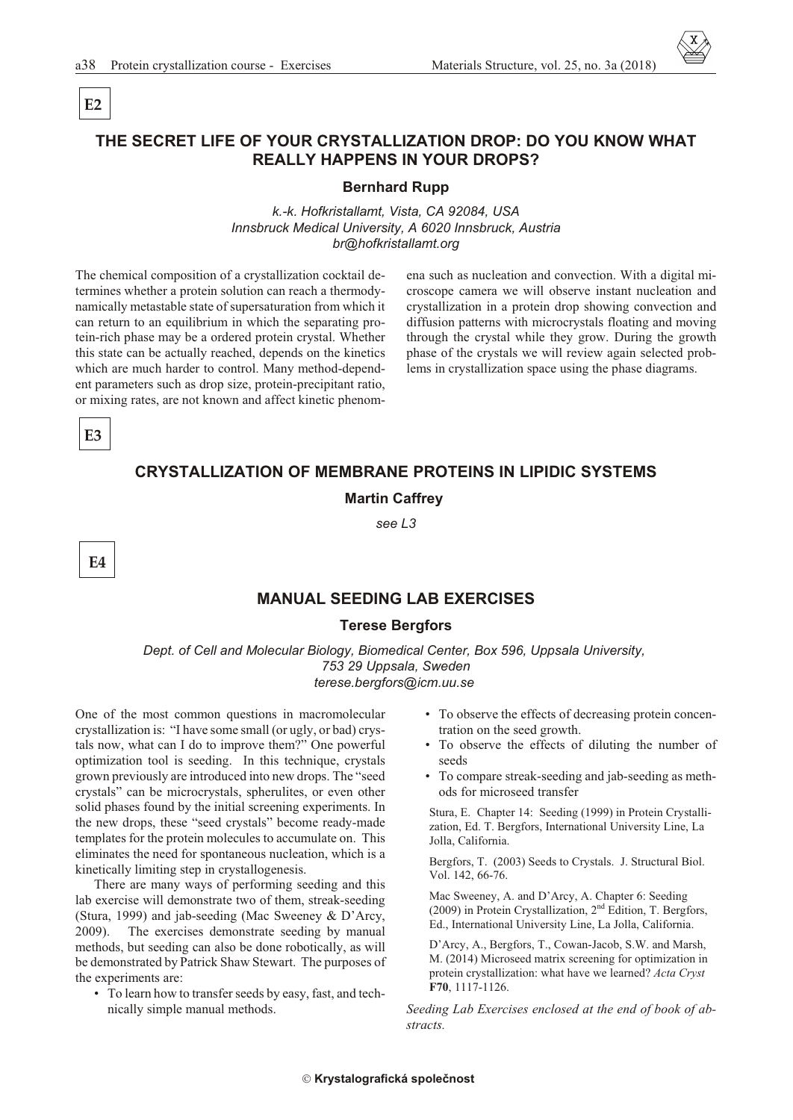# THE SECRET LIFE OF YOUR CRYSTALLIZATION DROP: DO YOU KNOW WHAT **REALLY HAPPENS IN YOUR DROPS?**

#### **Bernhard Rupp**

k.-k. Hofkristallamt, Vista, CA 92084, USA Innsbruck Medical University, A 6020 Innsbruck, Austria br@hofkristallamt.org

The chemical composition of a crystallization cocktail determines whether a protein solution can reach a thermodynamically metastable state of supersaturation from which it can return to an equilibrium in which the separating protein-rich phase may be a ordered protein crystal. Whether this state can be actually reached, depends on the kinetics which are much harder to control. Many method-dependent parameters such as drop size, protein-precipitant ratio, or mixing rates, are not known and affect kinetic phenomena such as nucleation and convection. With a digital microscope camera we will observe instant nucleation and crystallization in a protein drop showing convection and diffusion patterns with microcrystals floating and moving through the crystal while they grow. During the growth phase of the crystals we will review again selected problems in crystallization space using the phase diagrams.

E<sub>3</sub>

 $E2$ 

# **CRYSTALLIZATION OF MEMBRANE PROTEINS IN LIPIDIC SYSTEMS**

#### **Martin Caffrey**

see L3

E4

### **MANUAL SEEDING LAB EXERCISES**

### **Terese Bergfors**

Dept. of Cell and Molecular Biology, Biomedical Center, Box 596, Uppsala University, 753 29 Uppsala, Sweden terese.bergfors@icm.uu.se

One of the most common questions in macromolecular crystallization is: "I have some small (or ugly, or bad) crystals now, what can I do to improve them?" One powerful optimization tool is seeding. In this technique, crystals grown previously are introduced into new drops. The "seed crystals" can be microcrystals, spherulites, or even other solid phases found by the initial screening experiments. In the new drops, these "seed crystals" become ready-made templates for the protein molecules to accumulate on. This eliminates the need for spontaneous nucleation, which is a kinetically limiting step in crystallogenesis.

There are many ways of performing seeding and this lab exercise will demonstrate two of them, streak-seeding (Stura, 1999) and jab-seeding (Mac Sweeney & D'Arcy, The exercises demonstrate seeding by manual  $2009$ ). methods, but seeding can also be done robotically, as will be demonstrated by Patrick Shaw Stewart. The purposes of the experiments are:

• To learn how to transfer seeds by easy, fast, and technically simple manual methods.

- To observe the effects of decreasing protein concentration on the seed growth.
- To observe the effects of diluting the number of seeds
- To compare streak-seeding and jab-seeding as methods for microseed transfer

Stura, E. Chapter 14: Seeding (1999) in Protein Crystallization, Ed. T. Bergfors, International University Line, La Jolla, California.

Bergfors, T. (2003) Seeds to Crystals. J. Structural Biol. Vol. 142, 66-76.

Mac Sweeney, A. and D'Arcy, A. Chapter 6: Seeding (2009) in Protein Crystallization, 2<sup>nd</sup> Edition, T. Bergfors, Ed., International University Line, La Jolla, California.

D'Arcy, A., Bergfors, T., Cowan-Jacob, S.W. and Marsh, M. (2014) Microseed matrix screening for optimization in protein crystallization: what have we learned? Acta Cryst F70, 1117-1126.

Seeding Lab Exercises enclosed at the end of book of abstracts.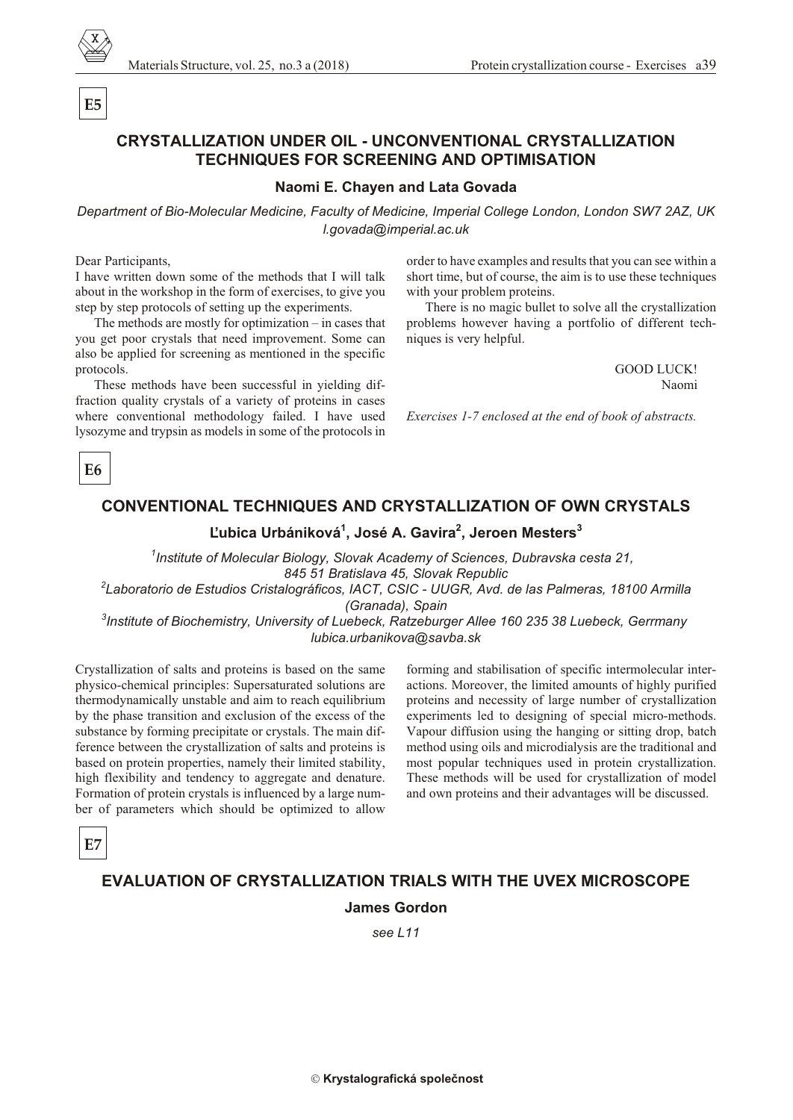

Materials Structure, vol. 25, no.3 a (2018) Protein crystallization course - Exercises a 39

# **CRYSTALLIZATION UNDER OIL - UNCONVENTIONAL CRYSTALLIZATION TECH NIQUES FOR SCREEN ING AND OPTIMISATION**

### **Na omi E. Chayen and Lata Govada**

*De part ment of Bio-Mo lec u lar Med i cine, Fac ulty of Med i cine, Im pe rial Col lege Lon don, Lon don SW7 2AZ, UK l.govada@im pe rial.ac.uk*

Dear Participants,

**E5**

I have written down some of the methods that I will talk about in the workshop in the form of exercises, to give you step by step protocols of setting up the experiments.

The methods are mostly for optimization – in cases that you get poor crystals that need improvement. Some can also be applied for screening as mentioned in the specific protocols.

These methods have been successful in yielding diffraction quality crystals of a variety of proteins in cases where conventional methodology failed. I have used lysozyme and trypsin as models in some of the protocols in order to have examples and results that you can see within a short time, but of course, the aim is to use these techniques with your problem proteins.

There is no magic bullet to solve all the crystallization problems however having a portfolio of different techniques is very helpful.

> GOOD LUCK! Naomi

*Exercises 1-7 enclosed at the end of book of abstracts.* 

**E6** 

# **CONVENTIONAL TECHNIQUES AND CRYSTALLIZATION OF OWN CRYSTALS**

# **¼ubica Urbániková<sup>1</sup> , José A. Gavira 2 , Jeroen Mesters 3**

<sup>1</sup> Institute of Molecular Biology, Slovak Academy of Sciences, Dubravska cesta 21, 845 51 Bratislava 45, Slovak Republic

*2 Laboratorio de Estudios Cristalográficos, IACT, CSIC - UUGR, Avd. de las Palmeras, 18100 Armilla (Granada), Spain*

<sup>3</sup> Institute of Biochemistry, University of Luebeck, Ratzeburger Allee 160 235 38 Luebeck, Gerrmany *lubica.urbanikova@savba.sk*

Crystallization of salts and proteins is based on the same physico-chemical principles: Supersaturated solutions are ther modynamically unstable and aim to reach equilibrium by the phase transition and exclusion of the excess of the sub stance by forming precipitate or crystals. The main difference between the crystallization of salts and proteins is based on protein properties, namely their limited stability, high flexibility and tendency to aggregate and denature. Formation of protein crystals is influenced by a large number of parameters which should be optimized to allow

forming and stabilisation of specific intermolecular interactions. Moreover, the limited amounts of highly purified proteins and necessity of large number of crystallization experiments led to designing of special micro-methods. Vapour diffusion using the hanging or sitting drop, batch method using oils and microdialysis are the traditional and most popular techniques used in protein crystallization. These methods will be used for crystallization of model and own proteins and their advantages will be discussed.

**E7**

# **EVALUATION OF CRYSTALLIZATION TRIALS WITH THE UVEX MICROSCOPE**

### **James Gordon**

*see L11*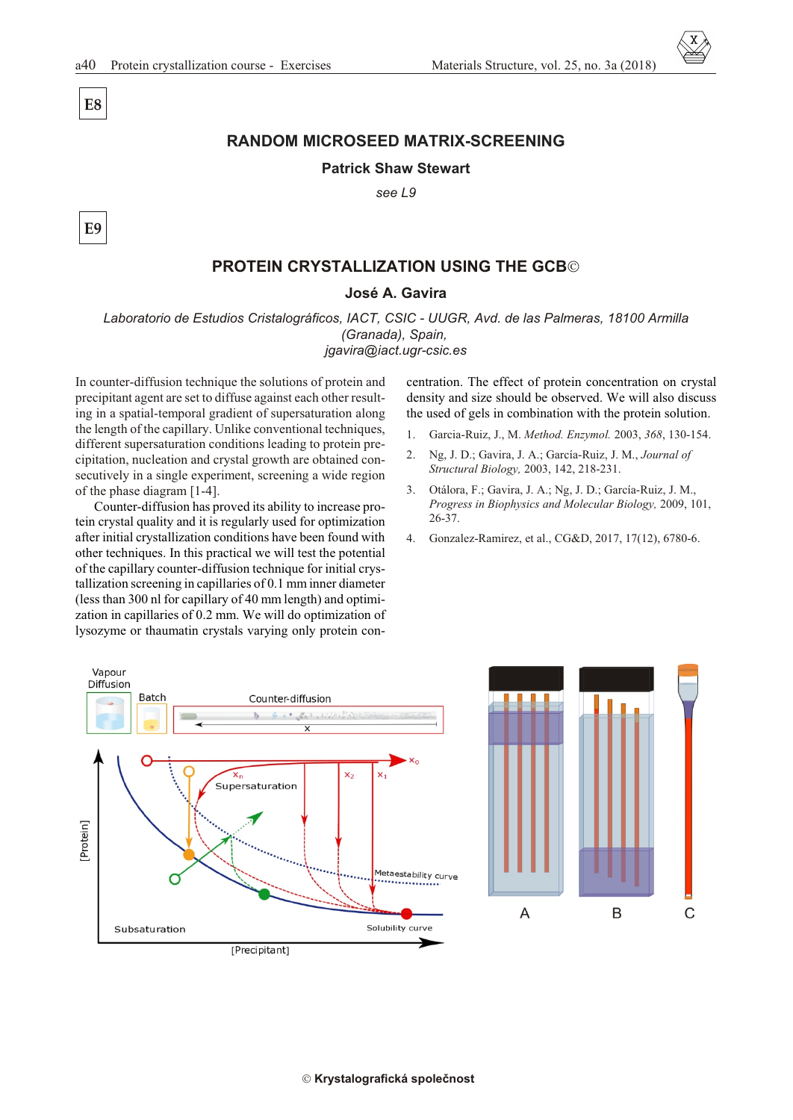**E8**

**E9**

# **RANDOM MICROSEED MATRIX-SCREENING**

### **Patrick Shaw Stewart**

*see L9*

## **PROTEIN CRYSTALLIZATION USING THE GCB**

#### **José A. Gavira**

*Laboratorio de Estudios Cristalográficos, IACT, CSIC - UUGR, Avd. de las Palmeras, 18100 Armilla (Granada), Spain, jgavira@iact.ugr-csic.es*

In counter-diffusion technique the solutions of protein and precipitant agent are set to diffuse against each other resulting in a spatial-temporal gradient of supersaturation along the length of the capillary. Unlike conventional techniques, different supersaturation conditions leading to protein precipitation, nucleation and crystal growth are obtained consecutively in a single experiment, screening a wide region of the phase diagram  $[1-4]$ .

Counter-diffusion has proved its ability to increase protein crystal quality and it is regularly used for optimization after initial crystallization conditions have been found with other techniques. In this practical we will test the potential of the capillary counter-diffusion technique for initial crystal lization screening in capillaries of 0.1 mm inner diameter (less than 300 nl for capillary of 40 mm length) and optimization in capillaries of 0.2 mm. We will do optimization of lysozyme or thaumatin crystals varying only protein concentration. The effect of protein concentration on crystal density and size should be observed. We will also discuss the used of gels in combination with the protein solution.

- 1. Gar cia-Ruiz, J., M. *Method. Enzymol.* 2003, *368*, 130-154.
- 2. Ng, J. D.; Gavira, J. A.; García-Ruiz, J. M., *Journal of Struc tural Bi ol ogy,* 2003, 142, 218-231.
- 3. Otálora, F.; Gavira, J. A.; Ng, J. D.; García-Ruiz, J. M., *Progress in Biophysics and Molecular Biology, 2009, 101,* 26-37.
- 4. Gonzalez-Ramirez, et al., CG&D, 2017, 17(12), 6780-6.

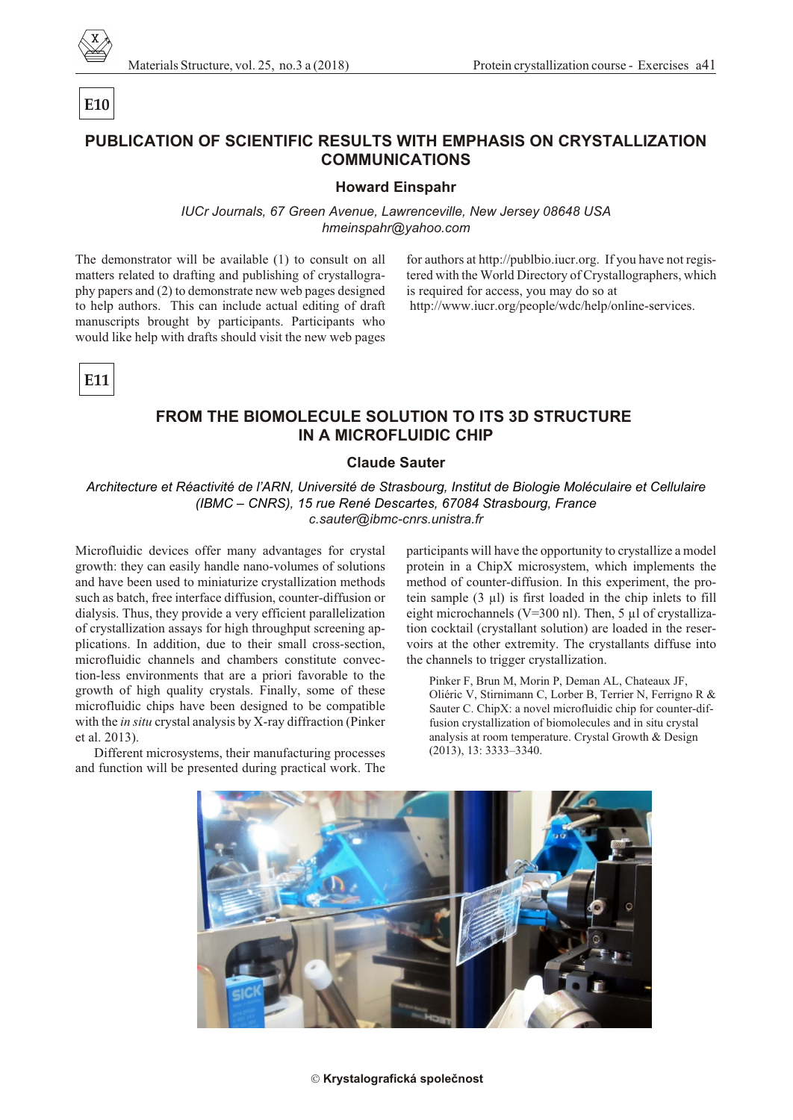

Protein crystallization course - Exercises a41

# PUBLICATION OF SCIENTIFIC RESULTS WITH EMPHASIS ON CRYSTALLIZATION **COMMUNICATIONS**

#### **Howard Einspahr**

IUCr Journals, 67 Green Avenue, Lawrenceville, New Jersey 08648 USA hmeinspahr@yahoo.com

The demonstrator will be available  $(1)$  to consult on all matters related to drafting and publishing of crystallography papers and (2) to demonstrate new web pages designed to help authors. This can include actual editing of draft manuscripts brought by participants. Participants who would like help with drafts should visit the new web pages

for authors at http://publbio.iucr.org. If you have not registered with the World Directory of Crystallographers, which is required for access, you may do so at http://www.jucr.org/people/wdc/help/online-services.

E11

E10

# **FROM THE BIOMOLECULE SOLUTION TO ITS 3D STRUCTURE IN A MICROFLUIDIC CHIP**

### **Claude Sauter**

Architecture et Réactivité de l'ARN, Université de Strasbourg, Institut de Biologie Moléculaire et Cellulaire (IBMC – CNRS). 15 rue René Descartes, 67084 Strasbourg, France c.sauter@ibmc-cnrs.unistra.fr

Microfluidic devices offer many advantages for crystal growth: they can easily handle nano-volumes of solutions and have been used to miniaturize crystallization methods such as batch, free interface diffusion, counter-diffusion or dialysis. Thus, they provide a very efficient parallelization of crystallization assays for high throughput screening applications. In addition, due to their small cross-section, microfluidic channels and chambers constitute convection-less environments that are a priori favorable to the growth of high quality crystals. Finally, some of these microfluidic chips have been designed to be compatible with the in situ crystal analysis by X-ray diffraction (Pinker et al. 2013).

Different microsystems, their manufacturing processes and function will be presented during practical work. The

participants will have the opportunity to crystallize a model protein in a ChipX microsystem, which implements the method of counter-diffusion. In this experiment, the protein sample  $(3 \mu l)$  is first loaded in the chip inlets to fill eight microchannels (V=300 nl). Then, 5  $\mu$ l of crystallization cocktail (crystallant solution) are loaded in the reservoirs at the other extremity. The crystallants diffuse into the channels to trigger crystallization.

Pinker F, Brun M, Morin P, Deman AL, Chateaux JF, Oliéric V, Stirnimann C, Lorber B, Terrier N, Ferrigno R & Sauter C. ChipX: a novel microfluidic chip for counter-diffusion crystallization of biomolecules and in situ crystal analysis at room temperature. Crystal Growth & Design  $(2013), 13: 3333 - 3340.$ 



#### Krystalografická společnost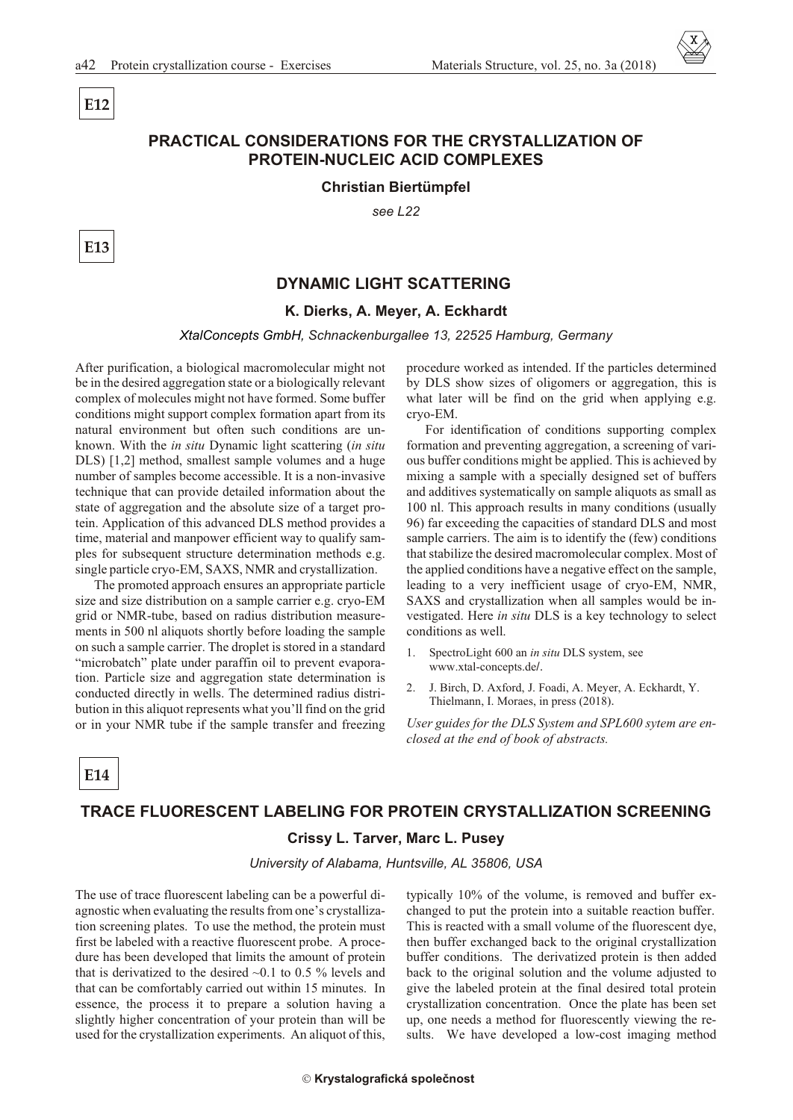# **PRACTICAL CONSIDERATIONS FOR THE CRYSTALLIZATION OF PROTEIN-NUCLEIC ACID COMPLEXES**

**Christian Biertümpfel** 

see 1.22

E<sub>13</sub>

E12

### **DYNAMIC LIGHT SCATTERING**

### K. Dierks, A. Meyer, A. Eckhardt

#### XtalConcepts GmbH, Schnackenburgallee 13, 22525 Hamburg, Germany

After purification, a biological macromolecular might not be in the desired aggregation state or a biologically relevant complex of molecules might not have formed. Some buffer conditions might support complex formation apart from its natural environment but often such conditions are unknown. With the *in situ* Dynamic light scattering *(in situ*) DLS) [1,2] method, smallest sample volumes and a huge number of samples become accessible. It is a non-invasive technique that can provide detailed information about the state of aggregation and the absolute size of a target protein. Application of this advanced DLS method provides a time, material and manpower efficient way to qualify samples for subsequent structure determination methods e.g. single particle cryo-EM, SAXS, NMR and crystallization.

The promoted approach ensures an appropriate particle size and size distribution on a sample carrier e.g. cryo-EM grid or NMR-tube, based on radius distribution measurements in 500 nl aliquots shortly before loading the sample on such a sample carrier. The droplet is stored in a standard "microbatch" plate under paraffin oil to prevent evaporation. Particle size and aggregation state determination is conducted directly in wells. The determined radius distribution in this aliquot represents what you'll find on the grid or in your NMR tube if the sample transfer and freezing procedure worked as intended. If the particles determined by DLS show sizes of oligomers or aggregation, this is what later will be find on the grid when applying e.g. cryo-EM.

For identification of conditions supporting complex formation and preventing aggregation, a screening of various buffer conditions might be applied. This is achieved by mixing a sample with a specially designed set of buffers and additives systematically on sample aliquots as small as 100 nl. This approach results in many conditions (usually 96) far exceeding the capacities of standard DLS and most sample carriers. The aim is to identify the (few) conditions that stabilize the desired macromolecular complex. Most of the applied conditions have a negative effect on the sample, leading to a very inefficient usage of cryo-EM, NMR, SAXS and crystallization when all samples would be investigated. Here in situ DLS is a key technology to select conditions as well.

- $\mathbf{1}$ SpectroLight 600 an in situ DLS system, see www.xtal-concepts.de/.
- J. Birch, D. Axford, J. Foadi, A. Meyer, A. Eckhardt, Y.  $2^{1}$ Thielmann, I. Moraes, in press (2018).

User guides for the DLS System and SPL600 sytem are enclosed at the end of book of abstracts.

E14

#### TRACE FI UORESCENT LABELING FOR PROTEIN CRYSTALLIZATION SCREENING

### Crissy L. Tarver, Marc L. Pusey

University of Alabama, Huntsville, AL 35806, USA

The use of trace fluorescent labeling can be a powerful diagnostic when evaluating the results from one's crystallization screening plates. To use the method, the protein must first be labeled with a reactive fluorescent probe. A procedure has been developed that limits the amount of protein that is derivatized to the desired  $\sim 0.1$  to 0.5 % levels and that can be comfortably carried out within 15 minutes. In essence, the process it to prepare a solution having a slightly higher concentration of your protein than will be used for the crystallization experiments. An aliquot of this,

typically 10% of the volume, is removed and buffer exchanged to put the protein into a suitable reaction buffer. This is reacted with a small volume of the fluorescent dye, then buffer exchanged back to the original crystallization buffer conditions. The derivatized protein is then added back to the original solution and the volume adjusted to give the labeled protein at the final desired total protein crystallization concentration. Once the plate has been set up, one needs a method for fluorescently viewing the results. We have developed a low-cost imaging method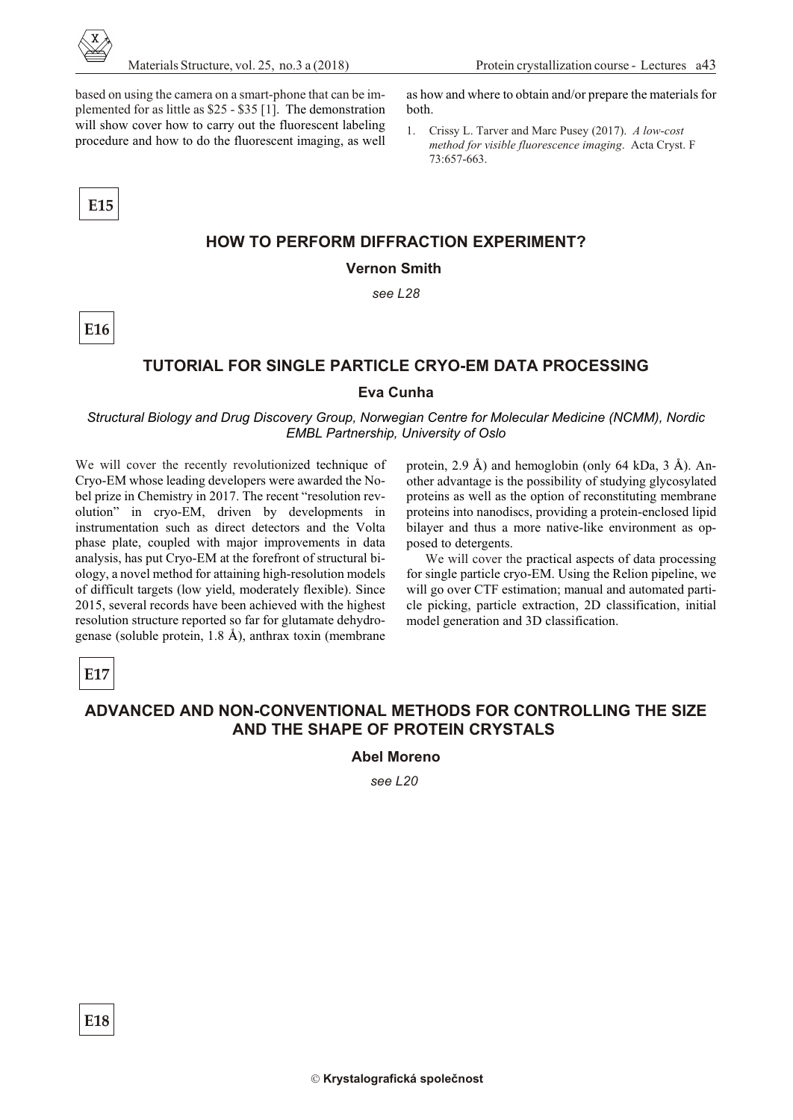

as how and where to obtain and/or prepare the materials for

1. Crissy L. Tarver and Marc Pusey (2017). *A low-cost method for visible fluorescence imaging.* Acta Cryst. F

based on using the camera on a smart-phone that can be implemented for as little as  $$25 - $35$  [1]. The demonstration will show cover how to carry out the fluorescent labeling procedure and how to do the fluorescent imaging, as well

 **E15**

**E16**

73:657-663.

# **HOW TO PERFORM DIFFRACTION EXPERIMENT?**

both.

**Vernon Smith**

*see L28*

## **TUTORIAL FOR SINGLE PARTICLE CRYO-EM DATA PROCESSING**

### **Eva Cunha**

*Structural Biology and Drug Discovery Group, Norwegian Centre for Molecular Medicine (NCMM), Nordic EMBL Partnership, University of Oslo* 

We will cover the recently revolutionized technique of Cryo-EM whose leading developers were awarded the Nobel prize in Chemistry in 2017. The recent "resolution revolution" in cryo-EM, driven by developments in instrumentation such as direct detectors and the Volta phase plate, coupled with major improvements in data analysis, has put Cryo-EM at the forefront of structural biology, a novel method for attaining high-resolution models of difficult targets (low yield, moderately flexible). Since 2015, several records have been achieved with the highest resolution structure reported so far for glutamate dehydrogenase (soluble protein, 1.8  $\AA$ ), anthrax toxin (membrane

protein, 2.9 Å) and hemoglobin (only 64 kDa, 3 Å). Another advantage is the possibility of studying glycosylated proteins as well as the option of reconstituting membrane proteins into nanodiscs, providing a protein-enclosed lipid bilayer and thus a more native-like environment as opposed to detergents.

We will cover the practical aspects of data processing for single particle cryo-EM. Using the Relion pipeline, we will go over CTF estimation; manual and automated particle picking, particle extraction, 2D classification, initial model generation and 3D classification.

# **E17**

**E18**

# AD VANCED AND NON-CONVENTIONAL METHODS FOR CONTROLLING THE SIZE **AND THE SHAPE OF PROTEIN CRYSTALS**

**Abel Moreno**

*see L20*